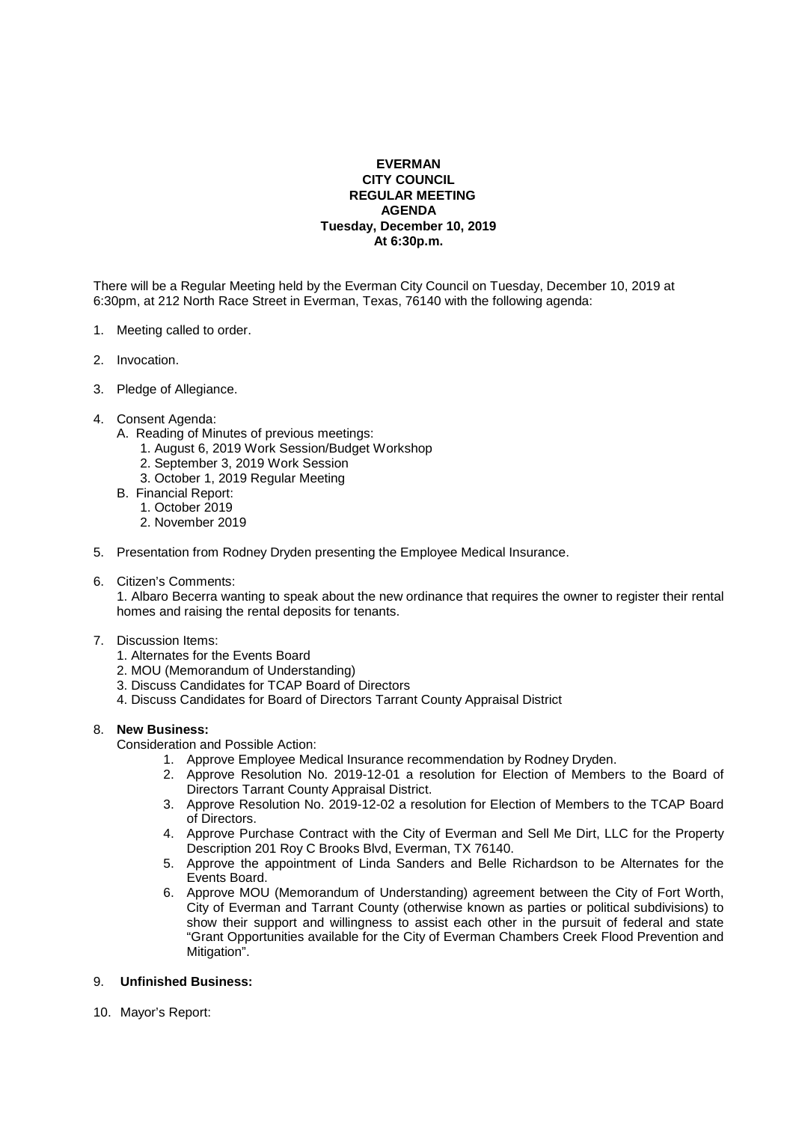## **EVERMAN CITY COUNCIL REGULAR MEETING AGENDA Tuesday, December 10, 2019 At 6:30p.m.**

There will be a Regular Meeting held by the Everman City Council on Tuesday, December 10, 2019 at 6:30pm, at 212 North Race Street in Everman, Texas, 76140 with the following agenda:

- 1. Meeting called to order.
- 2. Invocation.
- 3. Pledge of Allegiance.
- 4. Consent Agenda:
	- A. Reading of Minutes of previous meetings:
		- 1. August 6, 2019 Work Session/Budget Workshop
		- 2. September 3, 2019 Work Session
		- 3. October 1, 2019 Regular Meeting
	- B. Financial Report:
		- 1. October 2019
			- 2. November 2019
- 5. Presentation from Rodney Dryden presenting the Employee Medical Insurance.
- 6. Citizen's Comments:

1. Albaro Becerra wanting to speak about the new ordinance that requires the owner to register their rental homes and raising the rental deposits for tenants.

## 7. Discussion Items:

- 1. Alternates for the Events Board
- 2. MOU (Memorandum of Understanding)
- 3. Discuss Candidates for TCAP Board of Directors
- 4. Discuss Candidates for Board of Directors Tarrant County Appraisal District

## 8. **New Business:**

Consideration and Possible Action:

- 1. Approve Employee Medical Insurance recommendation by Rodney Dryden.
- 2. Approve Resolution No. 2019-12-01 a resolution for Election of Members to the Board of Directors Tarrant County Appraisal District.
- 3. Approve Resolution No. 2019-12-02 a resolution for Election of Members to the TCAP Board of Directors.
- 4. Approve Purchase Contract with the City of Everman and Sell Me Dirt, LLC for the Property Description 201 Roy C Brooks Blvd, Everman, TX 76140.
- 5. Approve the appointment of Linda Sanders and Belle Richardson to be Alternates for the Events Board.
- 6. Approve MOU (Memorandum of Understanding) agreement between the City of Fort Worth, City of Everman and Tarrant County (otherwise known as parties or political subdivisions) to show their support and willingness to assist each other in the pursuit of federal and state "Grant Opportunities available for the City of Everman Chambers Creek Flood Prevention and Mitigation".

## 9. **Unfinished Business:**

10. Mayor's Report: